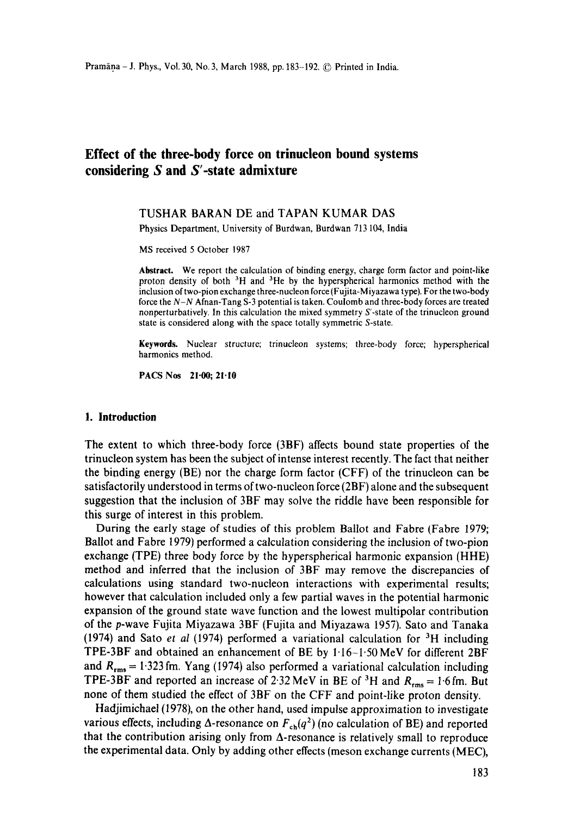# **Effect of the three-body force on trinucleon bound systems considering S and S'-state admixture**

## TUSHAR BARAN DE and TAPAN KUMAR DAS

Physics Department, University of Burdwan, Burdwan 713 104, India

MS received 5 October 1987

**Abstract.** We report the calculation of binding energy, charge form factor and point-like proton density of both 3H and 3He by the hyperspherical harmonics method with **the**  inclusion of two-pion exchange three-nucleon force (Fujita-Miyazawa type). For the two-body force the *N-N* Afnan-Tang S-3 potential is taken. Coulomb and three-body forces are treated nonperturbatively. In this calculation the mixed symmetry S'-state of the trinucleon ground state is considered along with the space totally symmetric S-state.

**Keywords.** Nuclear structure; trinucleon systems; three-body force; hyperspherical harmonics method.

**PACS Nos 21.00; 21.10** 

## **1. Introduction**

The extent to which three-body force (3BF) affects bound state properties of the trinucleon system has been the subject of intense interest recently. The fact that neither the binding energy (BE) nor the charge form factor (CFF) of the trinucleon can be satisfactorily understood in terms of two-nucleon force (2BF) alone and the subsequent suggestion that the inclusion of 3BF may solve the riddle have been responsible for this surge of interest in this problem.

During the early stage of studies of this problem Ballot and Fabre (Fabre 1979; Ballot and Fabre 1979) performed a calculation considering the inclusion of two-pion exchange (TPE) three body force by the hyperspherical harmonic expansion (HHE) method and inferred that the inclusion of 3BF may remove the discrepancies of calculations using standard two-nucleon interactions with experimental results; however that calculation included only a few partial waves in the potential harmonic expansion of the ground state wave function and the lowest multipolar contribution of the p-wave Fujita Miyazawa 3BF (Fujita and Miyazawa 1957). Sato and Tanaka (1974) and Sato *et al* (1974) performed a variational calculation for 3H including TPE-3BF and obtained an enhancement of BE by 1"16-1.50 MeV for different 2BF and  $R_{\rm rms} = 1.323$  fm. Yang (1974) also performed a variational calculation including TPE-3BF and reported an increase of 2.32 MeV in BE of <sup>3</sup>H and  $R_{\text{rms}} = 1.6$  fm. But none of them studied the effect of 3BF on the CFF and point-like proton density.

Hadjimichael (1978), on the other hand, used impulse approximation to investigate various effects, including  $\Delta$ -resonance on  $F_{ch}(q^2)$  (no calculation of BE) and reported that the contribution arising only from  $\Delta$ -resonance is relatively small to reproduce the experimental data. Only by adding other effects (meson exchange currents (MEC),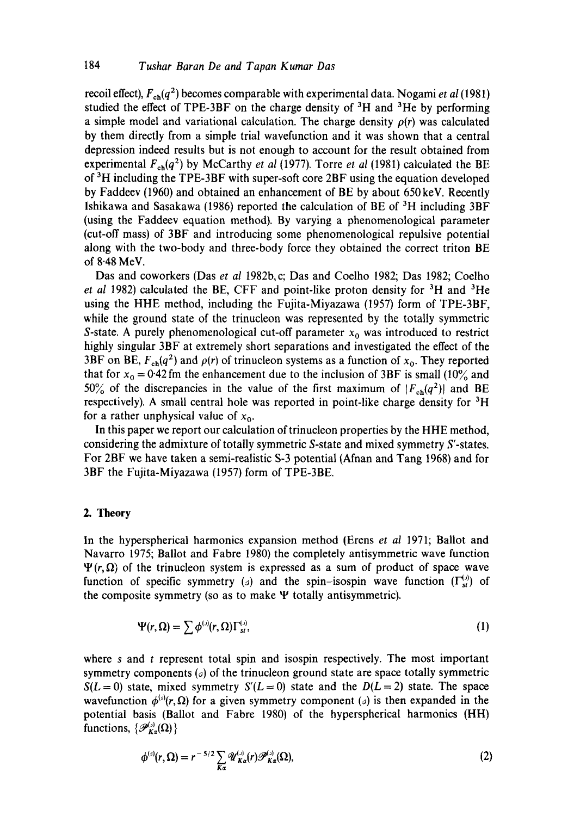recoil effect),  $F_{ch}(q^2)$  becomes comparable with experimental data. Nogami *et al* (1981) studied the effect of TPE-3BF on the charge density of  ${}^{3}H$  and  ${}^{3}He$  by performing a simple model and variational calculation. The charge density  $\rho(r)$  was calculated by them directly from a simple trial wavefunction and it was shown that a central depression indeed results but is not enough to account for the result obtained from experimental  $F_{ch}(q^2)$  by McCarthy *et al (1977)*. Torre *et al (1981)* calculated the BE of  ${}^{3}$ H including the TPE-3BF with super-soft core 2BF using the equation developed by Faddeev (1960) and obtained an enhancement of BE by about 650 keV. Recently Ishikawa and Sasakawa (1986) reported the calculation of BE of 3H including 3BF (using the Faddeev equation method). By varying a phenomenological parameter (cut-off mass) of 3BF and introducing some phenomenological repulsive potential along with the two-body and three-body force they obtained the correct triton BE of 8-48 MeV.

Das and coworkers (Das *et al* 1982b, c; Das and Coelho 1982; Das 1982; Coelho *et al* 1982) calculated the BE, CFF and point-like proton density for <sup>3</sup>H and <sup>3</sup>He using the HHE method, including the Fujita-Miyazawa (1957) form of TPE-3BF, while the ground state of the trinucleon was represented by the totally symmetric S-state. A purely phenomenological cut-off parameter  $x_0$  was introduced to restrict highly singular 3BF at extremely short separations and investigated the effect of the 3BF on BE,  $F_{ch}(q^2)$  and  $\rho(r)$  of trinucleon systems as a function of  $x_0$ . They reported that for  $x_0 = 0.42$  fm the enhancement due to the inclusion of 3BF is small (10% and 50% of the discrepancies in the value of the first maximum of  $|F_{ch}(q^2)|$  and BE respectively). A small central hole was reported in point-like charge density for  ${}^{3}H$ for a rather unphysical value of  $x_0$ .

In this paper we report our calculation of trinucleon properties by the HHE method, considering the admixture of totally symmetric S-state and mixed symmetry S'-states. For 2BF we have taken a semi-realistic S-3 potential (Afnan and Tang 1968) and for 3BF the Fujita-Miyazawa (1957) form of TPE-3BE.

## **2. Theory**

In the hyperspherical harmonics expansion method (Erens *et al* 1971; Ballot and Navarro 1975; Ballot and Fabre 1980) the completely antisymmetric wave function  $\Psi(r,\Omega)$  of the trinucleon system is expressed as a sum of product of space wave function of specific symmetry (*a*) and the spin-isospin wave function  $(\Gamma_{st}^{(1)})$  of the composite symmetry (so as to make  $\Psi$  totally antisymmetric).

$$
\Psi(r,\Omega)=\sum \phi^{(0)}(r,\Omega)\Gamma_{\rm st}^{(0)},\qquad(1)
$$

where  $s$  and  $t$  represent total spin and isospin respectively. The most important symmetry components  $(a)$  of the trinucleon ground state are space totally symmetric  $S(L = 0)$  state, mixed symmetry  $S'(L = 0)$  state and the  $D(L = 2)$  state. The space wavefunction  $\phi^{(s)}(r,\Omega)$  for a given symmetry component (s) is then expanded in the potential basis (Ballot and Fabre 1980) of the hyperspherical harmonics (HH) functions,  $\{\mathscr{P}_{K_{\alpha}}^{(s)}(\Omega)\}\$ 

$$
\phi^{(s)}(r,\Omega)=r^{-5/2}\sum_{K\alpha}\mathcal{U}_{K\alpha}^{(s)}(r)\mathscr{P}_{K\alpha}^{(s)}(\Omega),\qquad(2)
$$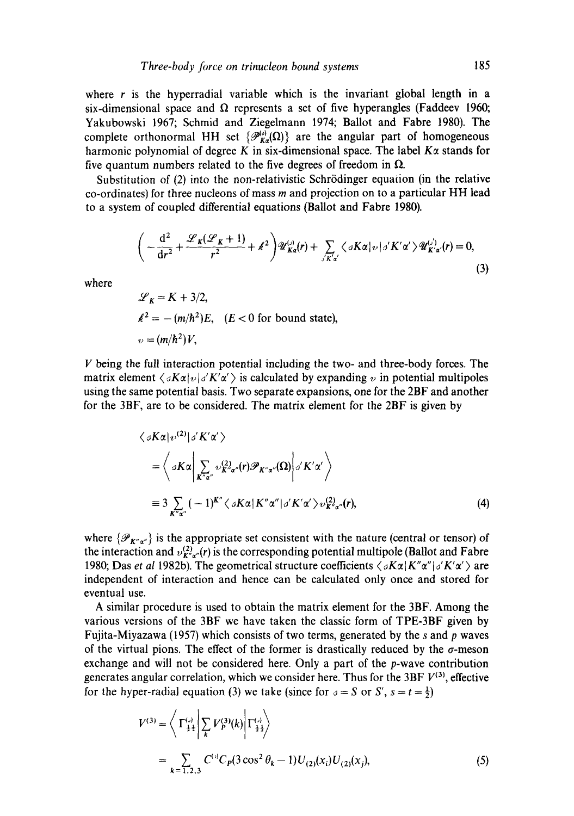where r is the hyperradial variable which is the invariant global length in a six-dimensional space and  $\Omega$  represents a set of five hyperangles (Faddeev 1960; Yakubowski 1967; Schmid and Ziegelmann 1974; Ballot and Fabre 1980). The complete orthonormal HH set  $\{\mathscr{P}_{K_{\alpha}}^{(s)}(\Omega)\}$  are the angular part of homogeneous harmonic polynomial of degree K in six-dimensional space. The label  $K\alpha$  stands for five quantum numbers related to the five degrees of freedom in  $\Omega$ .

Substitution of (2) into the non-relativistic Schrödinger equation (in the relative co-ordinates) for three nucleons of mass m and projection on to a particular HH lead to a system of coupled differential equations (Ballot and Fabre 1980).

$$
\left(-\frac{\mathrm{d}^2}{\mathrm{d}r^2} + \frac{\mathscr{L}_K(\mathscr{L}_K+1)}{r^2} + \mathscr{E}^2\right) \mathscr{U}_{K\alpha}^{(j)}(r) + \sum_{\mathscr{N}\alpha'} \langle \mathscr{A}\times \mathscr{A}\rangle \mathscr{U}_{K'\alpha'}^{(j')}(\mathscr{V}) \mathscr{U}_{K'\alpha'}^{(j')}(r) = 0,
$$
\n(3)

where

$$
\mathcal{L}_K = K + 3/2,
$$
  
\n
$$
k^2 = -(m/h^2)E, \quad (E < 0 \text{ for bound state}),
$$
  
\n
$$
v = (m/h^2)V,
$$

V being the full interaction potential including the two- and three-body forces. The matrix element  $\langle \mathcal{S}K\alpha|\nu|\mathcal{S}'K'\alpha'\rangle$  is calculated by expanding  $\nu$  in potential multipoles using the same potential basis. Two separate expansions, one for the 2BF and another for the 3BF, are to be considered. The matrix element for the 2BF is given by

$$
\langle \, \circ K\alpha | \, v^{(2)} | \, \circ' K'\alpha' \rangle
$$
\n
$$
= \left\langle \, \circ K\alpha \, \middle| \, \sum_{K''\alpha''} v_{K'\alpha''}^{(2)}(r) \mathcal{P}_{K''\alpha''}(\Omega) \right| \, \circ' K'\alpha' \right\rangle
$$
\n
$$
\equiv 3 \sum_{K''\alpha''} (-1)^{K''} \left\langle \, \circ K\alpha | K''\alpha'' | \, \circ' K'\alpha' \right\rangle v_{K'\alpha''}^{(2)}(r), \tag{4}
$$

where  $\{\mathscr{P}_{K''\alpha''}\}\$  is the appropriate set consistent with the nature (central or tensor) of the interaction and  $v_{K''a''}(r)$  is the corresponding potential multipole (Ballot and Fabre 1980; Das *et al* 1982b). The geometrical structure coefficients  $\langle \, aK\alpha | K''\alpha'' \, | \, a'K'\alpha' \, \rangle$  are independent of interaction and hence can be calculated only once and stored for eventual use.

A similar procedure is used to obtain the matrix element for the 3BF. Among the various versions of the 3BF we have taken the classic form of TPE-3BF given by Fujita-Miyazawa (1957) which consists of two terms, generated by the s and p waves of the virtual pions. The effect of the former is drastically reduced by the  $\sigma$ -meson exchange and will not be considered here. Only a part of the p-wave contribution generates angular correlation, which we consider here. Thus for the 3BF  $V^{(3)}$ , effective for the hyper-radial equation (3) we take (since for  $\sigma = S$  or S',  $s = t = \frac{1}{2}$ )

$$
V^{(3)} = \left\langle \Gamma_{\frac{1}{2}\frac{1}{2}}^{(3)} \middle| \sum_{k} V_{P}^{(3)}(k) \middle| \Gamma_{\frac{1}{2}\frac{1}{2}}^{(3)} \right\rangle
$$
  
= 
$$
\sum_{k=1,2,3} C^{(3)} C_{P} (3 \cos^{2} \theta_{k} - 1) U_{(2)}(x_{i}) U_{(2)}(x_{j}),
$$
 (5)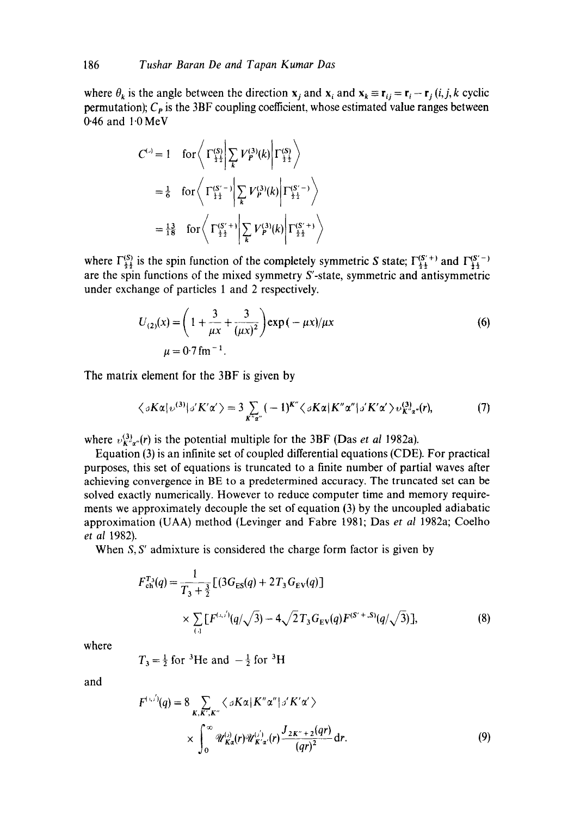where  $\theta_k$  is the angle between the direction  $\mathbf{x}_i$  and  $\mathbf{x}_i$  and  $\mathbf{x}_k \equiv \mathbf{r}_{ij} = \mathbf{r}_i - \mathbf{r}_j$  *(i, j, k cyclic* permutation);  $C_{\bf{p}}$  is the 3BF coupling coefficient, whose estimated value ranges between  $0.46$  and  $1.0$  MeV

$$
C^{(.)} = 1 \quad \text{for } \left\langle \Gamma_{\frac{1}{2} \frac{1}{2}}^{(S)} \right| \sum_{k} V_{P}^{(3)}(k) \left| \Gamma_{\frac{1}{2} \frac{1}{2}}^{(S)} \right\rangle
$$

$$
= \frac{1}{6} \quad \text{for } \left\langle \Gamma_{\frac{1}{2} \frac{1}{2}}^{(S'-)} \right| \sum_{k} V_{P}^{(3)}(k) \left| \Gamma_{\frac{1}{2} \frac{1}{2}}^{(S'-)} \right\rangle
$$

$$
= \frac{1}{18} \quad \text{for } \left\langle \Gamma_{\frac{1}{2} \frac{1}{2}}^{(S'+)} \right| \sum_{k} V_{P}^{(3)}(k) \left| \Gamma_{\frac{1}{2} \frac{1}{2}}^{(S'+)} \right\rangle
$$

where  $\Gamma_{44}^{(s)}$  is the spin function of the completely symmetric S state;  $\Gamma_{44}^{(s)}$  and  $\Gamma_{44}^{(s)}$ are the spin functions of the mixed symmetry S'-state, symmetric and antisymmetric under exchange of particles 1 and 2 respectively.

$$
U_{(2)}(x) = \left(1 + \frac{3}{\mu x} + \frac{3}{(\mu x)^2}\right) \exp(-\mu x)/\mu x
$$
  

$$
\mu = 0.7 \text{ fm}^{-1}.
$$
 (6)

The matrix element for the 3BF is given by

$$
\langle \, \mathcal{S}K\alpha | \, \mathcal{V}^{(3)} | \, \mathcal{S}'K'\alpha' \, \rangle = 3 \sum_{K''\alpha''} \, (-1)^{K''} \langle \, \mathcal{S}K\alpha | K''\alpha'' | \, \mathcal{S}'K'\alpha' \, \rangle \, \mathcal{V}^{(3)}_{K''\alpha''}(r), \tag{7}
$$

where  $v_{K''\alpha''}^{(3)}(r)$  is the potential multiple for the 3BF (Das *et al* 1982a).

Equation (3) is an infinite set of coupled differential equations (CDE). For practical purposes, this set of equations is truncated to a finite number of partial waves after achieving convergence in BE to a predetermined accuracy. The truncated set can be solved exactly numerically. However to reduce computer time and memory requirements we approximately decouple the set of equation (3) by the uncoupled adiabatic approximation (UAA) method (Levinger and Fabre 1981; Das *et al* 1982a; Coelho *et al* 1982).

When S, S' admixture is considered the charge form factor is given by

$$
F_{\rm ch}^{\rm T_3}(q) = \frac{1}{T_3 + \frac{3}{2}} \left[ (3G_{\rm ES}(q) + 2T_3 G_{\rm EV}(q)) \right]
$$
  
 
$$
\times \sum_{\langle . \rangle} \left[ F^{(x, i)}(q/\sqrt{3}) - 4\sqrt{2} T_3 G_{\rm EV}(q) F^{(S' + S)}(q/\sqrt{3}) \right],
$$
 (8)

where

$$
T_3 = \frac{1}{2} \text{ for } {}^3\text{He} \text{ and } -\frac{1}{2} \text{ for } {}^3\text{H}
$$

and

$$
F^{(\sqrt{t})}(q) = 8 \sum_{K,K',K''} \langle \sigma K \alpha | K'' \alpha'' | \sigma' K' \alpha' \rangle
$$
  
 
$$
\times \int_0^\infty \mathcal{U}_{K \alpha}^{(\nu)}(r) \mathcal{U}_{K' \alpha'}^{(\nu)}(r) \frac{J_{2K''+2}(qr)}{(qr)^2} dr.
$$
 (9)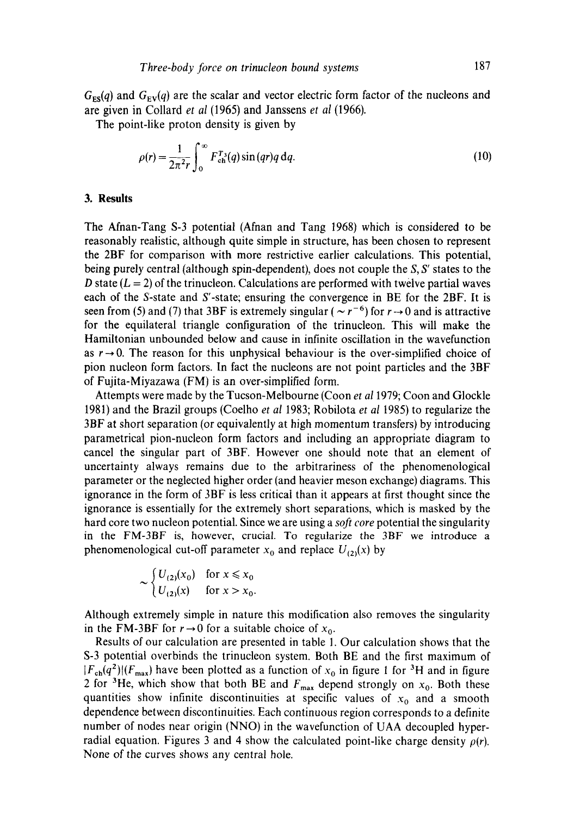$G_{ES}(q)$  and  $G_{EV}(q)$  are the scalar and vector electric form factor of the nucleons and are given in Collard *et al* (1965) and Janssens *et al* (1966).

The point-like proton density is given by

$$
\rho(r) = \frac{1}{2\pi^2 r} \int_0^\infty F_{\text{ch}}^{T_3}(q) \sin(qr) q \,dq. \tag{10}
$$

## **3. Results**

The Afnan-Tang S-3 potential (Afnan and Tang 1968) which is considered to be reasonably realistic, although quite simple in structure, has been chosen to represent the 2BF for comparison with more restrictive earlier calculations. This potential, being purely central (although spin-dependent), does not couple the  $S, S'$  states to the D state  $(L = 2)$  of the trinucleon. Calculations are performed with twelve partial waves each of the S-state and S'-state; ensuring the convergence in BE for the 2BF. It is seen from (5) and (7) that 3BF is extremely singular ( $\sim r^{-6}$ ) for  $r \rightarrow 0$  and is attractive for the equilateral triangle configuration of the trinucleon. This will make the Hamiltonian unbounded below and cause in infinite oscillation in the wavefunction as  $r \rightarrow 0$ . The reason for this unphysical behaviour is the over-simplified choice of pion nucleon form factors. In fact the nucleons are not point particles and the 3BF of Fujita-Miyazawa (FM) is an over-simplified form.

Attempts were made by the Tucson-Melbourne (Coon *et a11979;* Coon and Glockle 1981) and the Brazil groups (Coelho *et al* 1983; Robilota *et al* 1985) to regularize the 3BF at short separation (or equivalently at high momentum transfers) by introducing parametrical pion-nucleon form factors and including an appropriate diagram to cancel the singular part of 3BF. However one should note that an element of uncertainty always remains due to the arbitrariness of the phenomenological parameter or the neglected higher order (and heavier meson exchange) diagrams. This ignorance in the form of 3BF is less critical than it appears at first thought since the ignorance is essentially for the extremely short separations, which is masked by the hard core two nucleon potential. Since we are using a *soft core* potential the singularity in the FM-3BF is, however, crucial. To regularize the 3BF we introduce a phenomenological cut-off parameter  $x_0$  and replace  $U_{(2)}(x)$  by

$$
\sim \begin{cases} U_{(2)}(x_0) & \text{for } x \le x_0 \\ U_{(2)}(x) & \text{for } x > x_0. \end{cases}
$$

Although extremely simple in nature this modification also removes the singularity in the FM-3BF for  $r \rightarrow 0$  for a suitable choice of  $x_0$ .

Results of our calculation are presented in table 1. Our calculation shows that the S-3 potential overbinds the trinucleon system. Both BE and the first maximum of  $|F_{ch}(q^2)|(F_{max})$  have been plotted as a function of  $x_0$  in figure 1 for <sup>3</sup>H and in figure 2 for <sup>3</sup>He, which show that both BE and  $F_{\text{max}}$  depend strongly on  $x_0$ . Both these quantities show infinite discontinuities at specific values of  $x_0$  and a smooth dependence between discontinuities. Each continuous region corresponds to a definite number of nodes near origin (NNO) in the wavefunction of UAA decoupled hyperradial equation. Figures 3 and 4 show the calculated point-like charge density  $\rho(r)$ . None of the curves shows any central hole.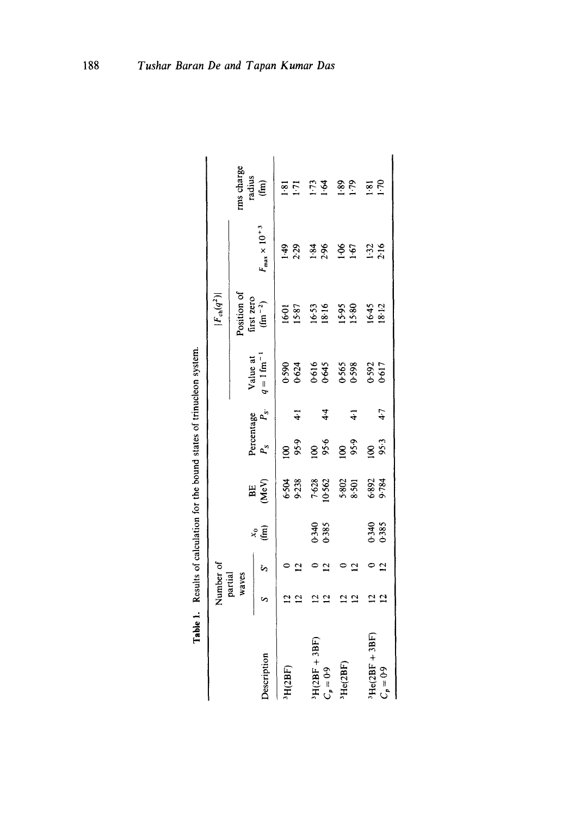|                         |                               |                         |                |                    |                    |                 |                                      | $\vert F_{\rm ch}(q^2)\vert$                             |                             |                    |
|-------------------------|-------------------------------|-------------------------|----------------|--------------------|--------------------|-----------------|--------------------------------------|----------------------------------------------------------|-----------------------------|--------------------|
|                         | Number of<br>partial<br>waves |                         |                |                    | Percentage         |                 |                                      | Position of<br>first zero<br>$(m-2)$                     |                             | rms charge         |
| Description             |                               | رغ                      | °€             | BE<br>MeV)         | $P_{S}$            | $P_{S}$         | Value at<br>$q = 1$ fm <sup>-1</sup> |                                                          | $F_{\rm max}\times 10^{+3}$ | radius<br>$(m)$    |
| H(2BF)                  |                               |                         |                | 6.504<br>9.238     | 8.99               | $\frac{1}{4}$   | $0.590$<br>$0.624$                   | 16 <sup>-</sup> 01<br>15-87                              | $149$<br>2.29               | $1.81$<br>$1.71$   |
| ${}^3H(2BF + 3BF)$      |                               |                         | 0-340<br>0-385 | 7:628<br>0:562     | $\frac{100}{95.6}$ |                 |                                      |                                                          | 184<br>2.96                 | $\frac{173}{164}$  |
| 'He(2BF)<br>$C_p = 0.9$ |                               |                         |                | $5.802$<br>$8.501$ |                    | $4\overline{4}$ | 0.616<br>0.645<br>0.558              | $\frac{16\cdot53}{18\cdot16}$<br>18:95<br>15:80<br>18:12 |                             | $1.89$<br>1.79     |
|                         |                               | ⊴                       |                |                    | 95.9               | $\ddot{+}$      |                                      |                                                          | $\frac{26}{101}$            |                    |
| ${}^{3}$ He(2BF + 3BF)  |                               |                         | 0.340<br>0.385 | 6892<br>9.784      | $\frac{100}{953}$  |                 | 0.592<br>0.617                       |                                                          | $1.32$<br>$2.16$            | $\frac{181}{1.70}$ |
| $C_p = 0.9$             |                               | $\overline{\mathbf{C}}$ |                |                    |                    | 47              |                                      |                                                          |                             |                    |

**Table** 1. Results of calculation for the bound states of trinucleon system. Table 1. Results of calculation for the bound states of trinucleon system.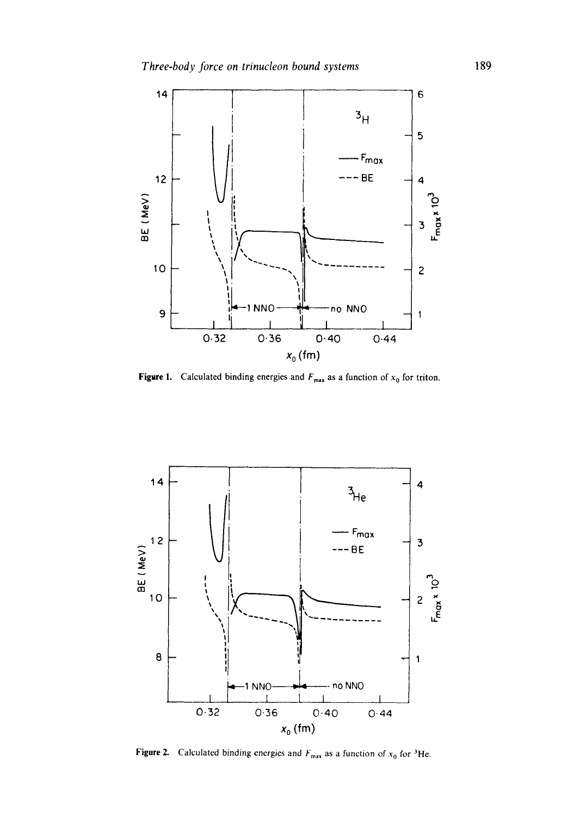

**Figure 1.** Calculated binding energies and  $F_{\text{max}}$  as a function of  $x_0$  for triton.



Figure 2. Calculated binding energies and  $F_{\text{max}}$  as a function of  $x_0$  for <sup>3</sup>He.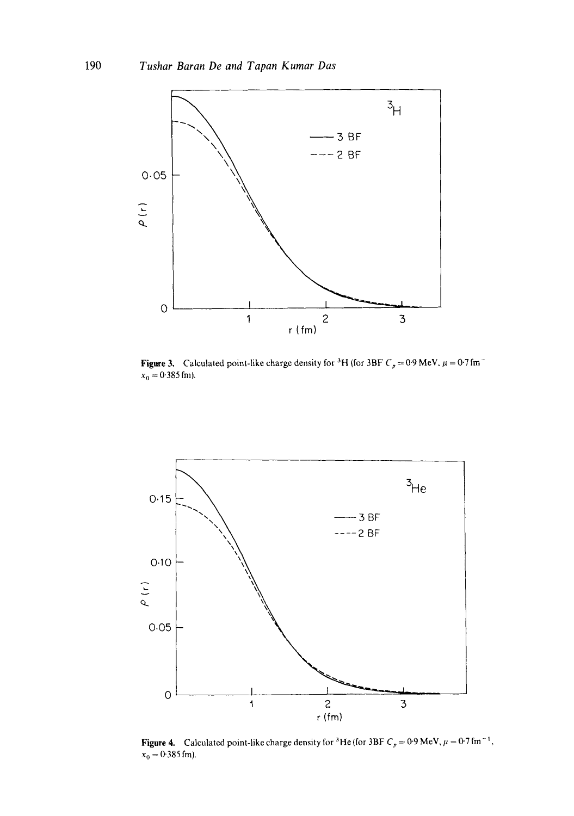

**Figure 3.** Calculated point-like charge density for <sup>3</sup>H (for 3BF  $C_p = 0.9$  MeV,  $\mu = 0.7$  fm<sup>-</sup>  $x_0 = 0.385$  fm).



**Figure 4.** Calculated point-like charge density for <sup>3</sup>He (for 3BF  $C_p = 0.9$  MeV,  $\mu = 0.7$  fm<sup>-1</sup>,  $x_0 = 0.385$  fm).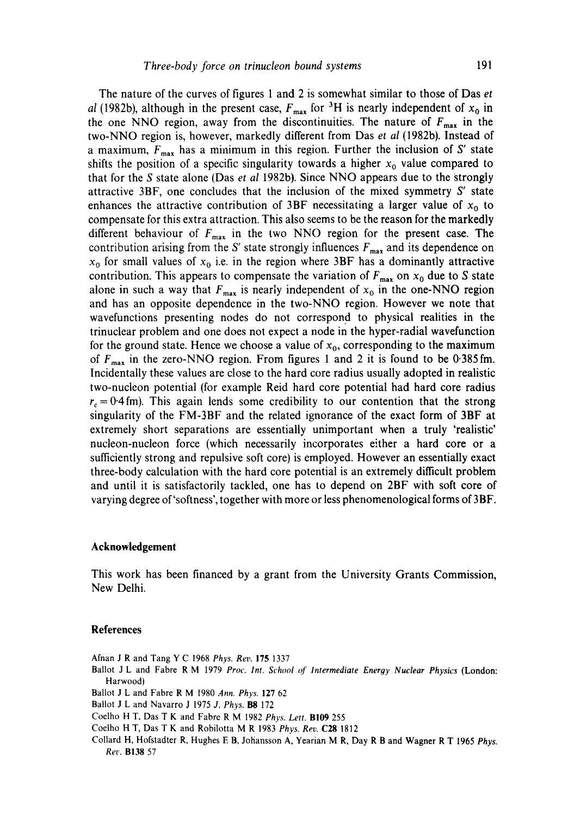The nature of the curves of figures 1 and 2 is somewhat similar to those of Das *et al* (1982b), although in the present case,  $F_{\text{max}}$  for <sup>3</sup>H is nearly independent of  $x_0$  in the one NNO region, away from the discontinuities. The nature of  $F_{\text{max}}$  in the two-NNO region is, however, markedly different from Das *et al* (1982b). Instead of a maximum,  $F_{\text{max}}$  has a minimum in this region. Further the inclusion of *S'* state shifts the position of a specific singularity towards a higher  $x_0$  value compared to that for the S state alone (Das *et al* 1982b). Since NNO appears due to the Strongly attractive 3BF, one concludes that the inclusion of the mixed symmetry S' state enhances the attractive contribution of 3BF necessitating a larger value of  $x_0$  to compensate for this extra attraction. This also seems to be the reason for the markedly different behaviour of  $F_{\text{max}}$  in the two NNO region for the present case. The contribution arising from the S' state strongly influences  $F_{\text{max}}$  and its dependence on  $x_0$  for small values of  $x_0$  i.e. in the region where 3BF has a dominantly attractive contribution. This appears to compensate the variation of  $F_{\text{max}}$  on  $x_0$  due to S state alone in such a way that  $F_{\text{max}}$  is nearly independent of  $x_0$  in the one-NNO region and has an opposite dependence in the two-NNO region. However we note that wavefunctions presenting nodes do not correspond to physical realities in the trinuclear problem and one does not expect a node in the hyper-radial wavefunction for the ground state. Hence we choose a value of  $x<sub>0</sub>$ , corresponding to the maximum of  $F_{\text{max}}$  in the zero-NNO region. From figures 1 and 2 it is found to be 0.385 fm. Incidentally these values are close to the hard core radius usually adopted in realistic two-nucleon potential (for example Reid hard core potential had hard core radius  $r<sub>c</sub> = 0.4$  fm). This again lends some credibility to our contention that the strong singularity of the FM-3BF and the related ignorance of the exact form of 3BF at extremely short separations are essentially unimportant when a truly 'realistic' nucleon-nucleon force (which necessarily incorporates either a hard core or a sufficiently strong and repulsive soft core) is employed. However an essentially exact three-body calculation with the hard core potential is an extremely difficult problem and until it is satisfactorily tackled, one has to depend on 2BF with soft core of varying degree of'softness', together with more or less phenomenological forms of 3BF.

#### **Acknowledgement**

This work has been financed by a grant from the University Grants Commission, New Delhi.

#### **References**

- Afnan J R and Tang Y C 1968 *Phys. Rev.* 175 1337
- Ballot J L and Fabre R M 1979 *Proc. Int. School of Intermediate Energy Nuclear Physics (London:* Harwood)
- Ballot J L and Fabre R M 1980 *Ann. Phys.* 127 62
- Ballot J L and Navarro J 1975 *J. Phys.* **B8** 172
- Coelho H T, Das T K and Fabre R M 1982 *Phys. Lett.* BI09 255
- Coelho H T, Das T K and Robilotta M R 1983 *Phys. Rev.* C28 1812
- Collard H, Hofstadter R, Hughes E B, Johansson A, Yearian M R, Day R B and Wagner R T 1965 *Phys. Re~,.* B!38 57